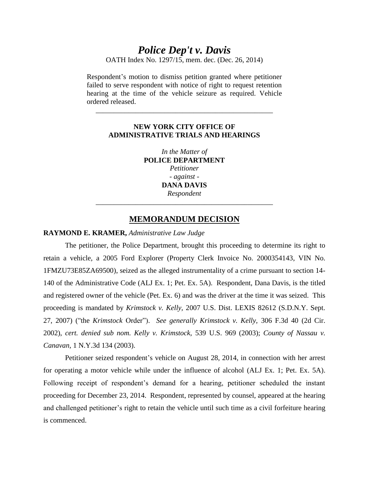# *Police Dep't v. Davis*

OATH Index No. 1297/15, mem. dec. (Dec. 26, 2014)

Respondent's motion to dismiss petition granted where petitioner failed to serve respondent with notice of right to request retention hearing at the time of the vehicle seizure as required. Vehicle ordered released.

\_\_\_\_\_\_\_\_\_\_\_\_\_\_\_\_\_\_\_\_\_\_\_\_\_\_\_\_\_\_\_\_\_\_\_\_\_\_\_\_\_\_\_\_\_\_\_\_\_

## **NEW YORK CITY OFFICE OF ADMINISTRATIVE TRIALS AND HEARINGS**

*In the Matter of* **POLICE DEPARTMENT** *Petitioner - against -* **DANA DAVIS** *Respondent* \_\_\_\_\_\_\_\_\_\_\_\_\_\_\_\_\_\_\_\_\_\_\_\_\_\_\_\_\_\_\_\_\_\_\_\_\_\_\_\_\_\_\_\_\_\_\_\_\_

## **MEMORANDUM DECISION**

### **RAYMOND E. KRAMER,** *Administrative Law Judge*

The petitioner, the Police Department, brought this proceeding to determine its right to retain a vehicle, a 2005 Ford Explorer (Property Clerk Invoice No. 2000354143, VIN No. 1FMZU73E85ZA69500), seized as the alleged instrumentality of a crime pursuant to section 14- 140 of the Administrative Code (ALJ Ex. 1; Pet. Ex. 5A). Respondent, Dana Davis, is the titled and registered owner of the vehicle (Pet. Ex. 6) and was the driver at the time it was seized. This proceeding is mandated by *Krimstock v. Kelly,* 2007 U.S. Dist. LEXIS 82612 (S.D.N.Y. Sept. 27, 2007) ("the *Krimstock* Order"). *See generally Krimstock v. Kelly,* 306 F.3d 40 (2d Cir. 2002), *cert. denied sub nom. Kelly v. Krimstock,* 539 U.S. 969 (2003); *County of Nassau v. Canavan,* 1 N.Y.3d 134 (2003).

Petitioner seized respondent's vehicle on August 28, 2014, in connection with her arrest for operating a motor vehicle while under the influence of alcohol (ALJ Ex. 1; Pet. Ex. 5A). Following receipt of respondent's demand for a hearing, petitioner scheduled the instant proceeding for December 23, 2014. Respondent, represented by counsel, appeared at the hearing and challenged petitioner's right to retain the vehicle until such time as a civil forfeiture hearing is commenced.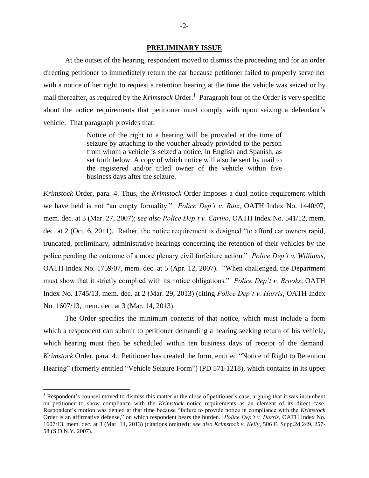#### **PRELIMINARY ISSUE**

At the outset of the hearing, respondent moved to dismiss the proceeding and for an order directing petitioner to immediately return the car because petitioner failed to properly serve her with a notice of her right to request a retention hearing at the time the vehicle was seized or by mail thereafter, as required by the *Krimstock* Order.<sup>1</sup> Paragraph four of the Order is very specific about the notice requirements that petitioner must comply with upon seizing a defendant's vehicle. That paragraph provides that:

> Notice of the right to a hearing will be provided at the time of seizure by attaching to the voucher already provided to the person from whom a vehicle is seized a notice, in English and Spanish, as set forth below. A copy of which notice will also be sent by mail to the registered and/or titled owner of the vehicle within five business days after the seizure.

*Krimstock* Order, para. 4. Thus, the *Krimstock* Order imposes a dual notice requirement which we have held is not "an empty formality." *Police Dep't v. Ruiz*, OATH Index No. 1440/07, mem. dec. at 3 (Mar. 27, 2007); *see also Police Dep't v. Carino*, OATH Index No. 541/12, mem. dec. at 2 (Oct. 6, 2011). Rather, the notice requirement is designed "to afford car owners rapid, truncated, preliminary, administrative hearings concerning the retention of their vehicles by the police pending the outcome of a more plenary civil forfeiture action." *Police Dep't v. Williams*, OATH Index No. 1759/07, mem. dec. at 5 (Apr. 12, 2007). "When challenged, the Department must show that it strictly complied with its notice obligations." *Police Dep't v. Brooks*, OATH Index No. 1745/13, mem. dec. at 2 (Mar. 29, 2013) (citing *Police Dep't v. Harris*, OATH Index No. 1607/13, mem. dec. at 3 (Mar. 14, 2013).

The Order specifies the minimum contents of that notice, which must include a form which a respondent can submit to petitioner demanding a hearing seeking return of his vehicle, which hearing must then be scheduled within ten business days of receipt of the demand. *Krimstock* Order, para. 4. Petitioner has created the form, entitled "Notice of Right to Retention Hearing" (formerly entitled "Vehicle Seizure Form") (PD 571-1218), which contains in its upper

 $\overline{a}$ 

<sup>&</sup>lt;sup>1</sup> Respondent's counsel moved to dismiss this matter at the close of petitioner's case, arguing that it was incumbent on petitioner to show compliance with the *Krimstock* notice requirements as an element of its direct case. Respondent's motion was denied at that time because "failure to provide notice in compliance with the *Krimstock* Order is an affirmative defense," on which respondent bears the burden. *Police Dep't v. Harris*, OATH Index No. 1607/13, mem. dec. at 3 (Mar. 14, 2013) (citations omitted); *see also Krimstock v. Kelly*, 506 F. Supp.2d 249, 257- 58 (S.D.N.Y. 2007).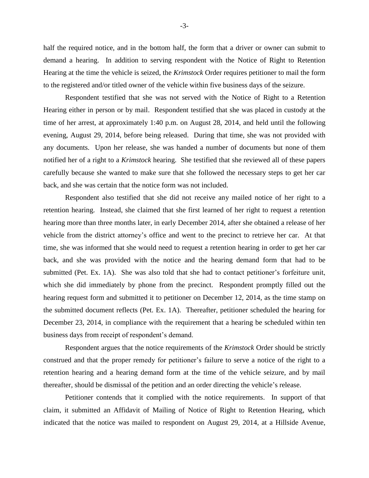half the required notice, and in the bottom half, the form that a driver or owner can submit to demand a hearing. In addition to serving respondent with the Notice of Right to Retention Hearing at the time the vehicle is seized, the *Krimstock* Order requires petitioner to mail the form to the registered and/or titled owner of the vehicle within five business days of the seizure.

Respondent testified that she was not served with the Notice of Right to a Retention Hearing either in person or by mail. Respondent testified that she was placed in custody at the time of her arrest, at approximately 1:40 p.m. on August 28, 2014, and held until the following evening, August 29, 2014, before being released. During that time, she was not provided with any documents. Upon her release, she was handed a number of documents but none of them notified her of a right to a *Krimstock* hearing. She testified that she reviewed all of these papers carefully because she wanted to make sure that she followed the necessary steps to get her car back, and she was certain that the notice form was not included.

Respondent also testified that she did not receive any mailed notice of her right to a retention hearing. Instead, she claimed that she first learned of her right to request a retention hearing more than three months later, in early December 2014, after she obtained a release of her vehicle from the district attorney's office and went to the precinct to retrieve her car. At that time, she was informed that she would need to request a retention hearing in order to get her car back, and she was provided with the notice and the hearing demand form that had to be submitted (Pet. Ex. 1A). She was also told that she had to contact petitioner's forfeiture unit, which she did immediately by phone from the precinct. Respondent promptly filled out the hearing request form and submitted it to petitioner on December 12, 2014, as the time stamp on the submitted document reflects (Pet. Ex. 1A). Thereafter, petitioner scheduled the hearing for December 23, 2014, in compliance with the requirement that a hearing be scheduled within ten business days from receipt of respondent's demand.

Respondent argues that the notice requirements of the *Krimstock* Order should be strictly construed and that the proper remedy for petitioner's failure to serve a notice of the right to a retention hearing and a hearing demand form at the time of the vehicle seizure, and by mail thereafter, should be dismissal of the petition and an order directing the vehicle's release.

Petitioner contends that it complied with the notice requirements. In support of that claim, it submitted an Affidavit of Mailing of Notice of Right to Retention Hearing, which indicated that the notice was mailed to respondent on August 29, 2014, at a Hillside Avenue,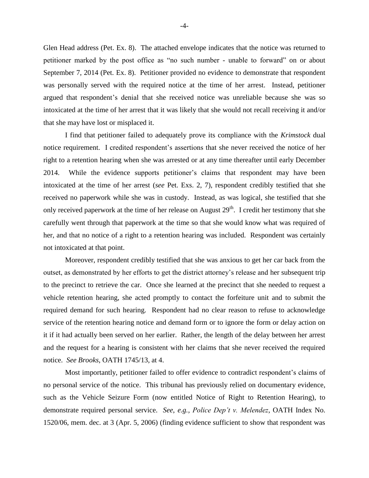Glen Head address (Pet. Ex. 8). The attached envelope indicates that the notice was returned to petitioner marked by the post office as "no such number - unable to forward" on or about September 7, 2014 (Pet. Ex. 8). Petitioner provided no evidence to demonstrate that respondent was personally served with the required notice at the time of her arrest. Instead, petitioner argued that respondent's denial that she received notice was unreliable because she was so intoxicated at the time of her arrest that it was likely that she would not recall receiving it and/or that she may have lost or misplaced it.

I find that petitioner failed to adequately prove its compliance with the *Krimstock* dual notice requirement. I credited respondent's assertions that she never received the notice of her right to a retention hearing when she was arrested or at any time thereafter until early December 2014. While the evidence supports petitioner's claims that respondent may have been intoxicated at the time of her arrest (*see* Pet. Exs. 2, 7), respondent credibly testified that she received no paperwork while she was in custody. Instead, as was logical, she testified that she only received paperwork at the time of her release on August 29<sup>th</sup>. I credit her testimony that she carefully went through that paperwork at the time so that she would know what was required of her, and that no notice of a right to a retention hearing was included. Respondent was certainly not intoxicated at that point.

Moreover, respondent credibly testified that she was anxious to get her car back from the outset, as demonstrated by her efforts to get the district attorney's release and her subsequent trip to the precinct to retrieve the car. Once she learned at the precinct that she needed to request a vehicle retention hearing, she acted promptly to contact the forfeiture unit and to submit the required demand for such hearing. Respondent had no clear reason to refuse to acknowledge service of the retention hearing notice and demand form or to ignore the form or delay action on it if it had actually been served on her earlier. Rather, the length of the delay between her arrest and the request for a hearing is consistent with her claims that she never received the required notice. *See Brooks*, OATH 1745/13, at 4.

Most importantly, petitioner failed to offer evidence to contradict respondent's claims of no personal service of the notice. This tribunal has previously relied on documentary evidence, such as the Vehicle Seizure Form (now entitled Notice of Right to Retention Hearing), to demonstrate required personal service. *See*, *e.g., Police Dep't v. Melendez*, OATH Index No. 1520/06, mem. dec. at 3 (Apr. 5, 2006) (finding evidence sufficient to show that respondent was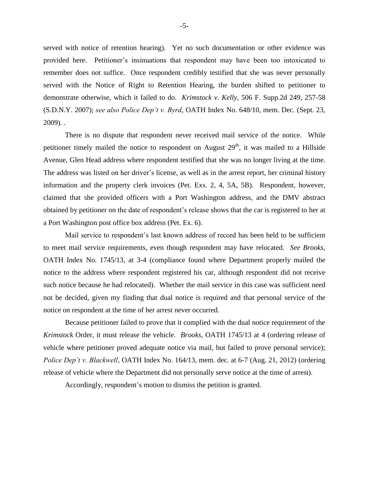served with notice of retention hearing). Yet no such documentation or other evidence was provided here. Petitioner's insinuations that respondent may have been too intoxicated to remember does not suffice. Once respondent credibly testified that she was never personally served with the Notice of Right to Retention Hearing, the burden shifted to petitioner to demonstrate otherwise, which it failed to do. *Krimstock v. Kelly*, 506 F. Supp.2d 249, 257-58 (S.D.N.Y. 2007); *see also Police Dep't v. Byrd*, OATH Index No. 648/10, mem. Dec. (Sept. 23, 2009). .

There is no dispute that respondent never received mail service of the notice. While petitioner timely mailed the notice to respondent on August  $29<sup>th</sup>$ , it was mailed to a Hillside Avenue, Glen Head address where respondent testified that she was no longer living at the time. The address was listed on her driver's license, as well as in the arrest report, her criminal history information and the property clerk invoices (Pet. Exs. 2, 4, 5A, 5B). Respondent, however, claimed that she provided officers with a Port Washington address, and the DMV abstract obtained by petitioner on the date of respondent's release shows that the car is registered to her at a Port Washington post office box address (Pet. Ex. 6).

Mail service to respondent's last known address of record has been held to be sufficient to meet mail service requirements, even though respondent may have relocated. *See Brooks*, OATH Index No. 1745/13, at 3-4 (compliance found where Department properly mailed the notice to the address where respondent registered his car, although respondent did not receive such notice because he had relocated). Whether the mail service in this case was sufficient need not be decided, given my finding that dual notice is required and that personal service of the notice on respondent at the time of her arrest never occurred.

Because petitioner failed to prove that it complied with the dual notice requirement of the *Krimstock* Order, it must release the vehicle. *Brooks*, OATH 1745/13 at 4 (ordering release of vehicle where petitioner proved adequate notice via mail, but failed to prove personal service); *Police Dep't v. Blackwell*, OATH Index No. 164/13, mem. dec. at 6-7 (Aug. 21, 2012) (ordering release of vehicle where the Department did not personally serve notice at the time of arrest).

Accordingly, respondent's motion to dismiss the petition is granted.